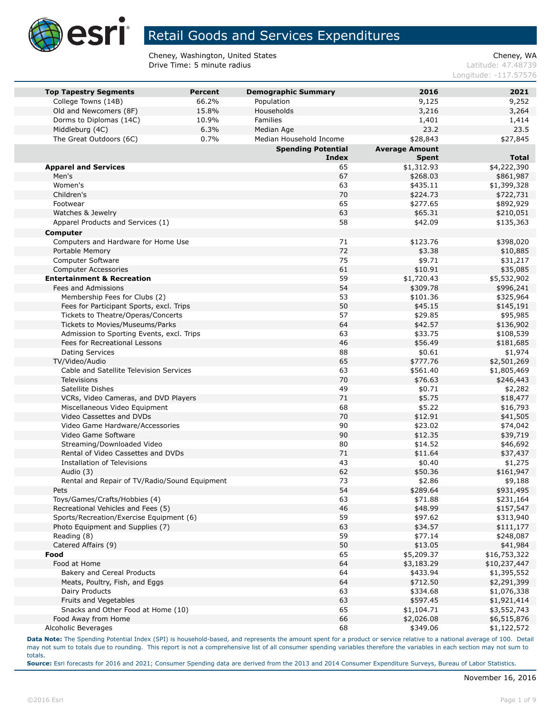

Cheney, Washington, United States<br>
Drive Time: 5 minute radius<br>
Cheney, WASHING Cheney, WA Drive Time: 5 minute radius

Longitude: -117.57576

| <b>Top Tapestry Segments</b>                               | <b>Percent</b> | <b>Demographic Summary</b> | 2016                  | 2021                   |
|------------------------------------------------------------|----------------|----------------------------|-----------------------|------------------------|
| College Towns (14B)                                        | 66.2%          | Population                 | 9,125                 | 9,252                  |
| Old and Newcomers (8F)                                     | 15.8%          | Households                 | 3,216                 | 3,264                  |
| Dorms to Diplomas (14C)                                    | 10.9%          | Families                   | 1,401                 | 1,414                  |
| Middleburg (4C)                                            | 6.3%           | Median Age                 | 23.2                  | 23.5                   |
| The Great Outdoors (6C)                                    | 0.7%           | Median Household Income    | \$28,843              | \$27,845               |
|                                                            |                | <b>Spending Potential</b>  | <b>Average Amount</b> |                        |
|                                                            |                | Index                      | <b>Spent</b>          | <b>Total</b>           |
| <b>Apparel and Services</b>                                |                | 65                         | \$1,312.93            | \$4,222,390            |
| Men's                                                      |                | 67                         | \$268.03              | \$861,987              |
| Women's                                                    |                | 63                         | \$435.11              | \$1,399,328            |
| Children's                                                 |                | 70                         | \$224.73              | \$722,731              |
| Footwear                                                   |                | 65                         | \$277.65              | \$892,929              |
| Watches & Jewelry                                          |                | 63                         | \$65.31               | \$210,051              |
| Apparel Products and Services (1)                          |                | 58                         | \$42.09               | \$135,363              |
| Computer                                                   |                |                            |                       |                        |
| Computers and Hardware for Home Use                        |                | 71                         | \$123.76              | \$398,020              |
| Portable Memory                                            |                | 72                         | \$3.38                | \$10,885               |
| Computer Software                                          |                | 75                         | \$9.71                | \$31,217               |
| <b>Computer Accessories</b>                                |                | 61                         | \$10.91               | \$35,085               |
| <b>Entertainment &amp; Recreation</b>                      |                | 59                         | \$1,720.43            | \$5,532,902            |
| Fees and Admissions                                        |                | 54                         | \$309.78              | \$996,241              |
| Membership Fees for Clubs (2)                              |                | 53                         | \$101.36              | \$325,964              |
| Fees for Participant Sports, excl. Trips                   |                | 50                         | \$45.15               | \$145,191              |
| Tickets to Theatre/Operas/Concerts                         |                | 57                         | \$29.85               | \$95,985               |
| Tickets to Movies/Museums/Parks                            |                | 64                         | \$42.57               | \$136,902              |
| Admission to Sporting Events, excl. Trips                  |                | 63                         | \$33.75               | \$108,539              |
| Fees for Recreational Lessons                              |                | 46                         | \$56.49               | \$181,685              |
| <b>Dating Services</b>                                     |                | 88                         | \$0.61                | \$1,974                |
| TV/Video/Audio                                             |                | 65                         | \$777.76              | \$2,501,269            |
| Cable and Satellite Television Services                    |                | 63                         | \$561.40              | \$1,805,469            |
| <b>Televisions</b>                                         |                | 70                         | \$76.63               | \$246,443              |
| Satellite Dishes                                           |                | 49                         | \$0.71                | \$2,282                |
| VCRs, Video Cameras, and DVD Players                       |                | 71                         | \$5.75                | \$18,477               |
| Miscellaneous Video Equipment                              |                | 68                         | \$5.22                | \$16,793               |
| Video Cassettes and DVDs                                   |                | 70                         | \$12.91               | \$41,505               |
| Video Game Hardware/Accessories                            |                | 90                         | \$23.02               | \$74,042               |
| Video Game Software                                        |                | 90                         | \$12.35               | \$39,719               |
| Streaming/Downloaded Video                                 |                | 80                         | \$14.52               | \$46,692               |
| Rental of Video Cassettes and DVDs                         |                | 71                         | \$11.64               | \$37,437               |
| Installation of Televisions                                |                | 43                         | \$0.40                | \$1,275                |
| Audio (3)<br>Rental and Repair of TV/Radio/Sound Equipment |                | 62<br>73                   | \$50.36<br>\$2.86     | \$161,947              |
|                                                            |                |                            |                       | \$9,188                |
| Pets<br>Toys/Games/Crafts/Hobbies (4)                      |                | 54<br>63                   | \$289.64<br>\$71.88   | \$931,495<br>\$231,164 |
| Recreational Vehicles and Fees (5)                         |                | 46                         | \$48.99               | \$157,547              |
| Sports/Recreation/Exercise Equipment (6)                   |                | 59                         | \$97.62               | \$313,940              |
| Photo Equipment and Supplies (7)                           |                | 63                         | \$34.57               | \$111,177              |
| Reading (8)                                                |                | 59                         | \$77.14               | \$248,087              |
| Catered Affairs (9)                                        |                | 50                         | \$13.05               | \$41,984               |
| Food                                                       |                | 65                         | \$5,209.37            | \$16,753,322           |
| Food at Home                                               |                | 64                         | \$3,183.29            | \$10,237,447           |
| Bakery and Cereal Products                                 |                | 64                         | \$433.94              | \$1,395,552            |
| Meats, Poultry, Fish, and Eggs                             |                | 64                         | \$712.50              | \$2,291,399            |
| Dairy Products                                             |                | 63                         | \$334.68              | \$1,076,338            |
| Fruits and Vegetables                                      |                | 63                         | \$597.45              | \$1,921,414            |
| Snacks and Other Food at Home (10)                         |                | 65                         | \$1,104.71            | \$3,552,743            |
| Food Away from Home                                        |                | 66                         | \$2,026.08            | \$6,515,876            |
| Alcoholic Beverages                                        |                | 68                         | \$349.06              | \$1,122,572            |

**Data Note:** The Spending Potential Index (SPI) is household-based, and represents the amount spent for a product or service relative to a national average of 100. Detail may not sum to totals due to rounding. This report is not a comprehensive list of all consumer spending variables therefore the variables in each section may not sum to totals.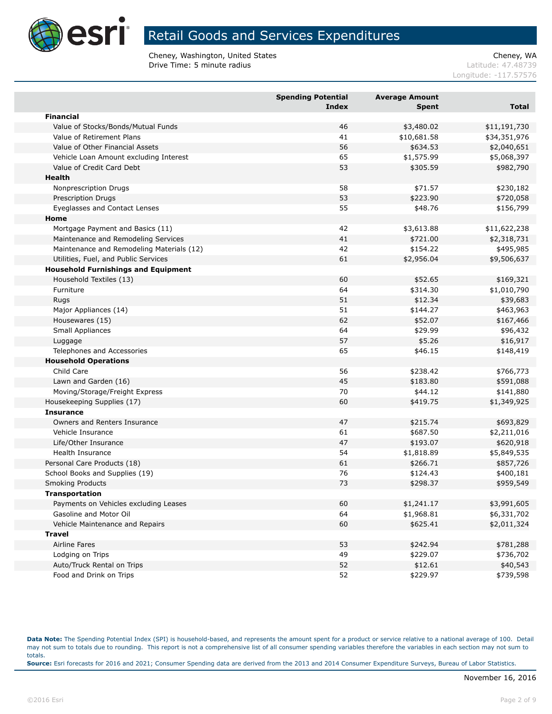

Cheney, Washington, United States<br>
Drive Time: 5 minute radius<br>
Cheney, WASHING Cheney, WA Drive Time: 5 minute radius

Longitude: -117.57576

|                                            | <b>Spending Potential</b><br><b>Index</b> | <b>Average Amount</b><br><b>Spent</b> | <b>Total</b> |
|--------------------------------------------|-------------------------------------------|---------------------------------------|--------------|
| <b>Financial</b>                           |                                           |                                       |              |
| Value of Stocks/Bonds/Mutual Funds         | 46                                        | \$3,480.02                            | \$11,191,730 |
| Value of Retirement Plans                  | 41                                        | \$10,681.58                           | \$34,351,976 |
| Value of Other Financial Assets            | 56                                        | \$634.53                              | \$2,040,651  |
| Vehicle Loan Amount excluding Interest     | 65                                        | \$1,575.99                            | \$5,068,397  |
| Value of Credit Card Debt                  | 53                                        | \$305.59                              | \$982,790    |
| Health                                     |                                           |                                       |              |
| Nonprescription Drugs                      | 58                                        | \$71.57                               | \$230,182    |
| <b>Prescription Drugs</b>                  | 53                                        | \$223.90                              | \$720,058    |
| Eyeglasses and Contact Lenses              | 55                                        | \$48.76                               | \$156,799    |
| Home                                       |                                           |                                       |              |
| Mortgage Payment and Basics (11)           | 42                                        | \$3,613.88                            | \$11,622,238 |
| Maintenance and Remodeling Services        | 41                                        | \$721.00                              | \$2,318,731  |
| Maintenance and Remodeling Materials (12)  | 42                                        | \$154.22                              | \$495,985    |
| Utilities, Fuel, and Public Services       | 61                                        | \$2,956.04                            | \$9,506,637  |
| <b>Household Furnishings and Equipment</b> |                                           |                                       |              |
| Household Textiles (13)                    | 60                                        | \$52.65                               | \$169,321    |
| Furniture                                  | 64                                        | \$314.30                              | \$1,010,790  |
| <b>Rugs</b>                                | 51                                        | \$12.34                               | \$39,683     |
| Major Appliances (14)                      | 51                                        | \$144.27                              | \$463,963    |
| Housewares (15)                            | 62                                        | \$52.07                               | \$167,466    |
| Small Appliances                           | 64                                        | \$29.99                               | \$96,432     |
| Luggage                                    | 57                                        | \$5.26                                | \$16,917     |
| Telephones and Accessories                 | 65                                        | \$46.15                               | \$148,419    |
| <b>Household Operations</b>                |                                           |                                       |              |
| Child Care                                 | 56                                        | \$238.42                              | \$766,773    |
| Lawn and Garden (16)                       | 45                                        | \$183.80                              | \$591,088    |
| Moving/Storage/Freight Express             | 70                                        | \$44.12                               | \$141,880    |
| Housekeeping Supplies (17)                 | 60                                        | \$419.75                              | \$1,349,925  |
| <b>Insurance</b>                           |                                           |                                       |              |
| Owners and Renters Insurance               | 47                                        | \$215.74                              | \$693,829    |
| Vehicle Insurance                          | 61                                        | \$687.50                              | \$2,211,016  |
| Life/Other Insurance                       | 47                                        | \$193.07                              | \$620,918    |
| Health Insurance                           | 54                                        | \$1,818.89                            | \$5,849,535  |
| Personal Care Products (18)                | 61                                        | \$266.71                              | \$857,726    |
| School Books and Supplies (19)             | 76                                        | \$124.43                              | \$400,181    |
| <b>Smoking Products</b>                    | 73                                        | \$298.37                              | \$959,549    |
| <b>Transportation</b>                      |                                           |                                       |              |
| Payments on Vehicles excluding Leases      | 60                                        | \$1,241.17                            | \$3,991,605  |
| Gasoline and Motor Oil                     | 64                                        | \$1,968.81                            | \$6,331,702  |
| Vehicle Maintenance and Repairs            | 60                                        | \$625.41                              | \$2,011,324  |
| <b>Travel</b>                              |                                           |                                       |              |
| Airline Fares                              | 53                                        | \$242.94                              | \$781,288    |
| Lodging on Trips                           | 49                                        | \$229.07                              | \$736,702    |
| Auto/Truck Rental on Trips                 | 52                                        | \$12.61                               | \$40,543     |
| Food and Drink on Trips                    | 52                                        | \$229.97                              | \$739,598    |

**Data Note:** The Spending Potential Index (SPI) is household-based, and represents the amount spent for a product or service relative to a national average of 100. Detail may not sum to totals due to rounding. This report is not a comprehensive list of all consumer spending variables therefore the variables in each section may not sum to totals. **Source:** Esri forecasts for 2016 and 2021; Consumer Spending data are derived from the 2013 and 2014 Consumer Expenditure Surveys, Bureau of Labor Statistics.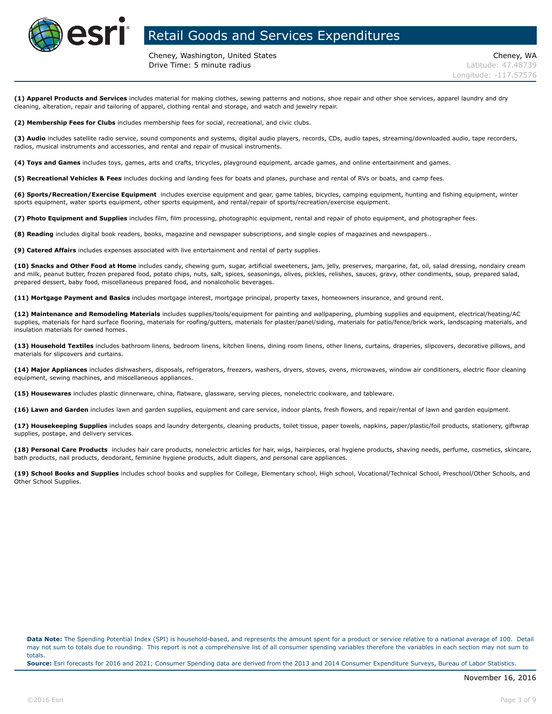

Cheney, Washington, United States Cheney, WA **Drive Time: 5 minute radius Contract Contract Contract Contract Contract Contract Contract Contract Contract Contract Contract Contract Contract Contract Contract Contract Contract Contract Contract Contract Contract Co** 

**(1) Apparel Products and Services** includes material for making clothes, sewing patterns and notions, shoe repair and other shoe services, apparel laundry and dry cleaning, alteration, repair and tailoring of apparel, clothing rental and storage, and watch and jewelry repair.

**(2) Membership Fees for Clubs** includes membership fees for social, recreational, and civic clubs.

**(3) Audio** includes satellite radio service, sound components and systems, digital audio players, records, CDs, audio tapes, streaming/downloaded audio, tape recorders, radios, musical instruments and accessories, and rental and repair of musical instruments.

**(4) Toys and Games** includes toys, games, arts and crafts, tricycles, playground equipment, arcade games, and online entertainment and games.

**(5) Recreational Vehicles & Fees** includes docking and landing fees for boats and planes, purchase and rental of RVs or boats, and camp fees.

**(6) Sports/Recreation/Exercise Equipment** includes exercise equipment and gear, game tables, bicycles, camping equipment, hunting and fishing equipment, winter sports equipment, water sports equipment, other sports equipment, and rental/repair of sports/recreation/exercise equipment.

**(7) Photo Equipment and Supplies** includes film, film processing, photographic equipment, rental and repair of photo equipment, and photographer fees.

**(8) Reading** includes digital book readers, books, magazine and newspaper subscriptions, and single copies of magazines and newspapers..

**(9) Catered Affairs** includes expenses associated with live entertainment and rental of party supplies.

**(10) Snacks and Other Food at Home** includes candy, chewing gum, sugar, artificial sweeteners, jam, jelly, preserves, margarine, fat, oil, salad dressing, nondairy cream and milk, peanut butter, frozen prepared food, potato chips, nuts, salt, spices, seasonings, olives, pickles, relishes, sauces, gravy, other condiments, soup, prepared salad, prepared dessert, baby food, miscellaneous prepared food, and nonalcoholic beverages.

**(11) Mortgage Payment and Basics** includes mortgage interest, mortgage principal, property taxes, homeowners insurance, and ground rent.

**(12) Maintenance and Remodeling Materials** includes supplies/tools/equipment for painting and wallpapering, plumbing supplies and equipment, electrical/heating/AC supplies, materials for hard surface flooring, materials for roofing/gutters, materials for plaster/panel/siding, materials for patio/fence/brick work, landscaping materials, and insulation materials for owned homes.

**(13) Household Textiles** includes bathroom linens, bedroom linens, kitchen linens, dining room linens, other linens, curtains, draperies, slipcovers, decorative pillows, and materials for slipcovers and curtains.

**(14) Major Appliances** includes dishwashers, disposals, refrigerators, freezers, washers, dryers, stoves, ovens, microwaves, window air conditioners, electric floor cleaning equipment, sewing machines, and miscellaneous appliances.

**(15) Housewares** includes plastic dinnerware, china, flatware, glassware, serving pieces, nonelectric cookware, and tableware.

**(16) Lawn and Garden** includes lawn and garden supplies, equipment and care service, indoor plants, fresh flowers, and repair/rental of lawn and garden equipment.

**(17) Housekeeping Supplies** includes soaps and laundry detergents, cleaning products, toilet tissue, paper towels, napkins, paper/plastic/foil products, stationery, giftwrap supplies, postage, and delivery services.

**(18) Personal Care Products** includes hair care products, nonelectric articles for hair, wigs, hairpieces, oral hygiene products, shaving needs, perfume, cosmetics, skincare, bath products, nail products, deodorant, feminine hygiene products, adult diapers, and personal care appliances.

**(19) School Books and Supplies** includes school books and supplies for College, Elementary school, High school, Vocational/Technical School, Preschool/Other Schools, and Other School Supplies.

**Data Note:** The Spending Potential Index (SPI) is household-based, and represents the amount spent for a product or service relative to a national average of 100. Detail may not sum to totals due to rounding. This report is not a comprehensive list of all consumer spending variables therefore the variables in each section may not sum to totals.

**Source:** Esri forecasts for 2016 and 2021; Consumer Spending data are derived from the 2013 and 2014 Consumer Expenditure Surveys, Bureau of Labor Statistics.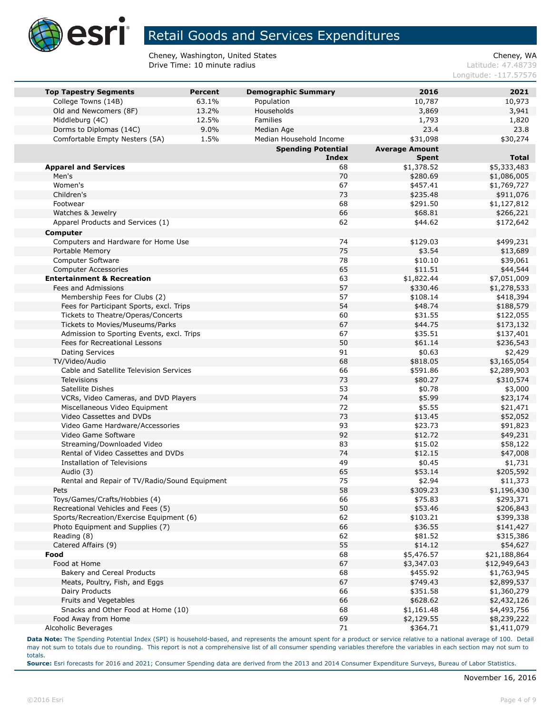

Cheney, Washington, United States<br>
Drive Time: 10 minute radius<br>
Latitude: 47.48739 Drive Time: 10 minute radius

Longitude: -117.57576

| <b>Top Tapestry Segments</b>          | <b>Percent</b>                                |       | <b>Demographic Summary</b> | 2016                  | 2021         |
|---------------------------------------|-----------------------------------------------|-------|----------------------------|-----------------------|--------------|
| College Towns (14B)                   |                                               | 63.1% | Population                 | 10,787                | 10,973       |
| Old and Newcomers (8F)                |                                               | 13.2% | Households                 | 3,869                 | 3,941        |
| Middleburg (4C)                       |                                               | 12.5% | Families                   | 1,793                 | 1,820        |
| Dorms to Diplomas (14C)               |                                               | 9.0%  | Median Age                 | 23.4                  | 23.8         |
| Comfortable Empty Nesters (5A)        |                                               | 1.5%  | Median Household Income    | \$31,098              | \$30,274     |
|                                       |                                               |       | <b>Spending Potential</b>  | <b>Average Amount</b> |              |
|                                       |                                               |       | <b>Index</b>               | <b>Spent</b>          | <b>Total</b> |
| <b>Apparel and Services</b>           |                                               |       | 68                         | \$1,378.52            | \$5,333,483  |
| Men's                                 |                                               |       | 70                         | \$280.69              | \$1,086,005  |
| Women's                               |                                               |       | 67                         | \$457.41              | \$1,769,727  |
| Children's                            |                                               |       | 73                         | \$235.48              | \$911,076    |
| Footwear                              |                                               |       | 68                         | \$291.50              | \$1,127,812  |
| Watches & Jewelry                     |                                               |       | 66                         | \$68.81               | \$266,221    |
| Apparel Products and Services (1)     |                                               |       | 62                         | \$44.62               | \$172,642    |
| Computer                              |                                               |       |                            |                       |              |
| Computers and Hardware for Home Use   |                                               |       | 74                         | \$129.03              | \$499,231    |
| Portable Memory                       |                                               |       | 75                         | \$3.54                | \$13,689     |
| Computer Software                     |                                               |       | 78                         | \$10.10               | \$39,061     |
| <b>Computer Accessories</b>           |                                               |       | 65                         |                       |              |
|                                       |                                               |       |                            | \$11.51               | \$44,544     |
| <b>Entertainment &amp; Recreation</b> |                                               |       | 63                         | \$1,822.44            | \$7,051,009  |
| Fees and Admissions                   |                                               |       | 57                         | \$330.46              | \$1,278,533  |
| Membership Fees for Clubs (2)         |                                               |       | 57                         | \$108.14              | \$418,394    |
|                                       | Fees for Participant Sports, excl. Trips      |       | 54                         | \$48.74               | \$188,579    |
| Tickets to Theatre/Operas/Concerts    |                                               |       | 60                         | \$31.55               | \$122,055    |
| Tickets to Movies/Museums/Parks       |                                               |       | 67                         | \$44.75               | \$173,132    |
|                                       | Admission to Sporting Events, excl. Trips     |       | 67                         | \$35.51               | \$137,401    |
| Fees for Recreational Lessons         |                                               |       | 50                         | \$61.14               | \$236,543    |
| <b>Dating Services</b>                |                                               |       | 91                         | \$0.63                | \$2,429      |
| TV/Video/Audio                        |                                               |       | 68                         | \$818.05              | \$3,165,054  |
|                                       | Cable and Satellite Television Services       |       | 66                         | \$591.86              | \$2,289,903  |
| Televisions                           |                                               |       | 73                         | \$80.27               | \$310,574    |
| Satellite Dishes                      |                                               |       | 53                         | \$0.78                | \$3,000      |
|                                       | VCRs, Video Cameras, and DVD Players          |       | 74                         | \$5.99                | \$23,174     |
| Miscellaneous Video Equipment         |                                               |       | 72                         | \$5.55                | \$21,471     |
| Video Cassettes and DVDs              |                                               |       | 73                         | \$13.45               | \$52,052     |
| Video Game Hardware/Accessories       |                                               |       | 93                         | \$23.73               | \$91,823     |
| Video Game Software                   |                                               |       | 92                         | \$12.72               | \$49,231     |
| Streaming/Downloaded Video            |                                               |       | 83                         | \$15.02               | \$58,122     |
| Rental of Video Cassettes and DVDs    |                                               |       | 74                         | \$12.15               | \$47,008     |
| Installation of Televisions           |                                               |       | 49                         | \$0.45                | \$1,731      |
| Audio (3)                             |                                               |       | 65                         | \$53.14               | \$205,592    |
|                                       | Rental and Repair of TV/Radio/Sound Equipment |       | 75                         | \$2.94                | \$11,373     |
| Pets                                  |                                               |       | 58                         | \$309.23              | \$1,196,430  |
| Toys/Games/Crafts/Hobbies (4)         |                                               |       | 66                         | \$75.83               | \$293,371    |
| Recreational Vehicles and Fees (5)    |                                               |       | 50                         | \$53.46               | \$206,843    |
|                                       | Sports/Recreation/Exercise Equipment (6)      |       | 62                         | \$103.21              | \$399,338    |
| Photo Equipment and Supplies (7)      |                                               |       | 66                         | \$36.55               | \$141,427    |
| Reading (8)                           |                                               |       | 62                         | \$81.52               | \$315,386    |
| Catered Affairs (9)                   |                                               |       | 55                         | \$14.12               | \$54,627     |
| Food                                  |                                               |       | 68                         | \$5,476.57            | \$21,188,864 |
| Food at Home                          |                                               |       | 67                         | \$3,347.03            | \$12,949,643 |
| Bakery and Cereal Products            |                                               |       | 68                         | \$455.92              | \$1,763,945  |
| Meats, Poultry, Fish, and Eggs        |                                               |       | 67                         | \$749.43              | \$2,899,537  |
| Dairy Products                        |                                               |       | 66                         | \$351.58              | \$1,360,279  |
| Fruits and Vegetables                 |                                               |       | 66                         | \$628.62              | \$2,432,126  |
|                                       | Snacks and Other Food at Home (10)            |       | 68                         | \$1,161.48            | \$4,493,756  |
| Food Away from Home                   |                                               |       | 69                         | \$2,129.55            | \$8,239,222  |
| Alcoholic Beverages                   |                                               |       | 71                         | \$364.71              | \$1,411,079  |
|                                       |                                               |       |                            |                       |              |

**Data Note:** The Spending Potential Index (SPI) is household-based, and represents the amount spent for a product or service relative to a national average of 100. Detail may not sum to totals due to rounding. This report is not a comprehensive list of all consumer spending variables therefore the variables in each section may not sum to totals.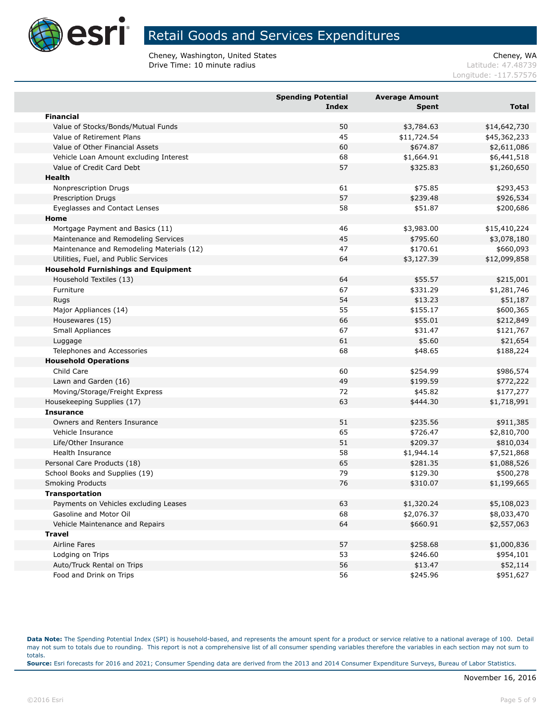

Cheney, Washington, United States Cheney, WA Cheney, WA Cheney, WA Cheney, WA Cheney, WA Cheney, WA Cheney, WA Cheney, WA Cheney, WA Cheney, WA Cheney, WA Cheney, WA Cheney, WA Cheney, WA Cheney, WA Cheney, WA Cheney, WA C Drive Time: 10 minute radius

Longitude: -117.57576

|                                            | <b>Spending Potential</b><br><b>Index</b> | <b>Average Amount</b><br><b>Spent</b> | <b>Total</b> |
|--------------------------------------------|-------------------------------------------|---------------------------------------|--------------|
| <b>Financial</b>                           |                                           |                                       |              |
| Value of Stocks/Bonds/Mutual Funds         | 50                                        | \$3,784.63                            | \$14,642,730 |
| Value of Retirement Plans                  | 45                                        | \$11,724.54                           | \$45,362,233 |
| Value of Other Financial Assets            | 60                                        | \$674.87                              | \$2,611,086  |
| Vehicle Loan Amount excluding Interest     | 68                                        | \$1,664.91                            | \$6,441,518  |
| Value of Credit Card Debt                  | 57                                        | \$325.83                              | \$1,260,650  |
| <b>Health</b>                              |                                           |                                       |              |
| Nonprescription Drugs                      | 61                                        | \$75.85                               | \$293,453    |
| Prescription Drugs                         | 57                                        | \$239.48                              | \$926,534    |
| Eyeglasses and Contact Lenses              | 58                                        | \$51.87                               | \$200,686    |
| Home                                       |                                           |                                       |              |
| Mortgage Payment and Basics (11)           | 46                                        | \$3,983.00                            | \$15,410,224 |
| Maintenance and Remodeling Services        | 45                                        | \$795.60                              | \$3,078,180  |
| Maintenance and Remodeling Materials (12)  | 47                                        | \$170.61                              | \$660,093    |
| Utilities, Fuel, and Public Services       | 64                                        | \$3,127.39                            | \$12,099,858 |
| <b>Household Furnishings and Equipment</b> |                                           |                                       |              |
| Household Textiles (13)                    | 64                                        | \$55.57                               | \$215,001    |
| Furniture                                  | 67                                        | \$331.29                              | \$1,281,746  |
| Rugs                                       | 54                                        | \$13.23                               | \$51,187     |
| Major Appliances (14)                      | 55                                        | \$155.17                              | \$600,365    |
| Housewares (15)                            | 66                                        | \$55.01                               | \$212,849    |
| Small Appliances                           | 67                                        | \$31.47                               | \$121,767    |
| Luggage                                    | 61                                        | \$5.60                                | \$21,654     |
| Telephones and Accessories                 | 68                                        | \$48.65                               | \$188,224    |
| <b>Household Operations</b>                |                                           |                                       |              |
| Child Care                                 | 60                                        | \$254.99                              | \$986,574    |
| Lawn and Garden (16)                       | 49                                        | \$199.59                              | \$772,222    |
| Moving/Storage/Freight Express             | 72                                        | \$45.82                               | \$177,277    |
| Housekeeping Supplies (17)                 | 63                                        | \$444.30                              | \$1,718,991  |
| <b>Insurance</b>                           |                                           |                                       |              |
| Owners and Renters Insurance               | 51                                        | \$235.56                              | \$911,385    |
| Vehicle Insurance                          | 65                                        | \$726.47                              | \$2,810,700  |
| Life/Other Insurance                       | 51                                        | \$209.37                              | \$810,034    |
| <b>Health Insurance</b>                    | 58                                        | \$1,944.14                            | \$7,521,868  |
| Personal Care Products (18)                | 65                                        | \$281.35                              | \$1,088,526  |
| School Books and Supplies (19)             | 79                                        | \$129.30                              | \$500,278    |
| <b>Smoking Products</b>                    | 76                                        | \$310.07                              | \$1,199,665  |
| <b>Transportation</b>                      |                                           |                                       |              |
| Payments on Vehicles excluding Leases      | 63                                        | \$1,320.24                            | \$5,108,023  |
| Gasoline and Motor Oil                     | 68                                        | \$2,076.37                            | \$8,033,470  |
| Vehicle Maintenance and Repairs            | 64                                        | \$660.91                              | \$2,557,063  |
| <b>Travel</b>                              |                                           |                                       |              |
| Airline Fares                              | 57                                        | \$258.68                              | \$1,000,836  |
| Lodging on Trips                           | 53                                        | \$246.60                              | \$954,101    |
| Auto/Truck Rental on Trips                 | 56                                        | \$13.47                               | \$52,114     |
| Food and Drink on Trips                    | 56                                        | \$245.96                              | \$951,627    |
|                                            |                                           |                                       |              |

**Data Note:** The Spending Potential Index (SPI) is household-based, and represents the amount spent for a product or service relative to a national average of 100. Detail may not sum to totals due to rounding. This report is not a comprehensive list of all consumer spending variables therefore the variables in each section may not sum to totals. **Source:** Esri forecasts for 2016 and 2021; Consumer Spending data are derived from the 2013 and 2014 Consumer Expenditure Surveys, Bureau of Labor Statistics.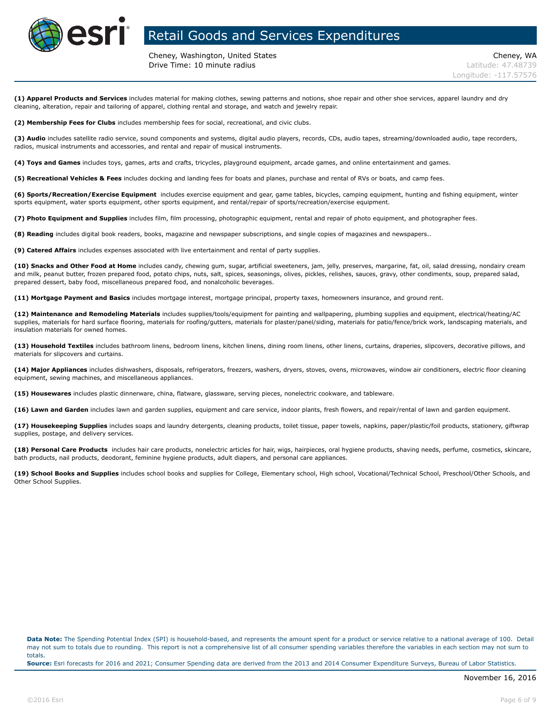

Cheney, Washington, United States Cheney, WA **Drive Time: 10 minute radius Latitude: 47.48739** 

**(1) Apparel Products and Services** includes material for making clothes, sewing patterns and notions, shoe repair and other shoe services, apparel laundry and dry cleaning, alteration, repair and tailoring of apparel, clothing rental and storage, and watch and jewelry repair.

**(2) Membership Fees for Clubs** includes membership fees for social, recreational, and civic clubs.

**(3) Audio** includes satellite radio service, sound components and systems, digital audio players, records, CDs, audio tapes, streaming/downloaded audio, tape recorders, radios, musical instruments and accessories, and rental and repair of musical instruments.

**(4) Toys and Games** includes toys, games, arts and crafts, tricycles, playground equipment, arcade games, and online entertainment and games.

**(5) Recreational Vehicles & Fees** includes docking and landing fees for boats and planes, purchase and rental of RVs or boats, and camp fees.

**(6) Sports/Recreation/Exercise Equipment** includes exercise equipment and gear, game tables, bicycles, camping equipment, hunting and fishing equipment, winter sports equipment, water sports equipment, other sports equipment, and rental/repair of sports/recreation/exercise equipment.

**(7) Photo Equipment and Supplies** includes film, film processing, photographic equipment, rental and repair of photo equipment, and photographer fees.

**(8) Reading** includes digital book readers, books, magazine and newspaper subscriptions, and single copies of magazines and newspapers..

**(9) Catered Affairs** includes expenses associated with live entertainment and rental of party supplies.

**(10) Snacks and Other Food at Home** includes candy, chewing gum, sugar, artificial sweeteners, jam, jelly, preserves, margarine, fat, oil, salad dressing, nondairy cream and milk, peanut butter, frozen prepared food, potato chips, nuts, salt, spices, seasonings, olives, pickles, relishes, sauces, gravy, other condiments, soup, prepared salad, prepared dessert, baby food, miscellaneous prepared food, and nonalcoholic beverages.

**(11) Mortgage Payment and Basics** includes mortgage interest, mortgage principal, property taxes, homeowners insurance, and ground rent.

**(12) Maintenance and Remodeling Materials** includes supplies/tools/equipment for painting and wallpapering, plumbing supplies and equipment, electrical/heating/AC supplies, materials for hard surface flooring, materials for roofing/gutters, materials for plaster/panel/siding, materials for patio/fence/brick work, landscaping materials, and insulation materials for owned homes.

**(13) Household Textiles** includes bathroom linens, bedroom linens, kitchen linens, dining room linens, other linens, curtains, draperies, slipcovers, decorative pillows, and materials for slipcovers and curtains.

**(14) Major Appliances** includes dishwashers, disposals, refrigerators, freezers, washers, dryers, stoves, ovens, microwaves, window air conditioners, electric floor cleaning equipment, sewing machines, and miscellaneous appliances.

**(15) Housewares** includes plastic dinnerware, china, flatware, glassware, serving pieces, nonelectric cookware, and tableware.

**(16) Lawn and Garden** includes lawn and garden supplies, equipment and care service, indoor plants, fresh flowers, and repair/rental of lawn and garden equipment.

**(17) Housekeeping Supplies** includes soaps and laundry detergents, cleaning products, toilet tissue, paper towels, napkins, paper/plastic/foil products, stationery, giftwrap supplies, postage, and delivery services.

**(18) Personal Care Products** includes hair care products, nonelectric articles for hair, wigs, hairpieces, oral hygiene products, shaving needs, perfume, cosmetics, skincare, bath products, nail products, deodorant, feminine hygiene products, adult diapers, and personal care appliances.

**(19) School Books and Supplies** includes school books and supplies for College, Elementary school, High school, Vocational/Technical School, Preschool/Other Schools, and Other School Supplies.

**Data Note:** The Spending Potential Index (SPI) is household-based, and represents the amount spent for a product or service relative to a national average of 100. Detail may not sum to totals due to rounding. This report is not a comprehensive list of all consumer spending variables therefore the variables in each section may not sum to totals.

**Source:** Esri forecasts for 2016 and 2021; Consumer Spending data are derived from the 2013 and 2014 Consumer Expenditure Surveys, Bureau of Labor Statistics.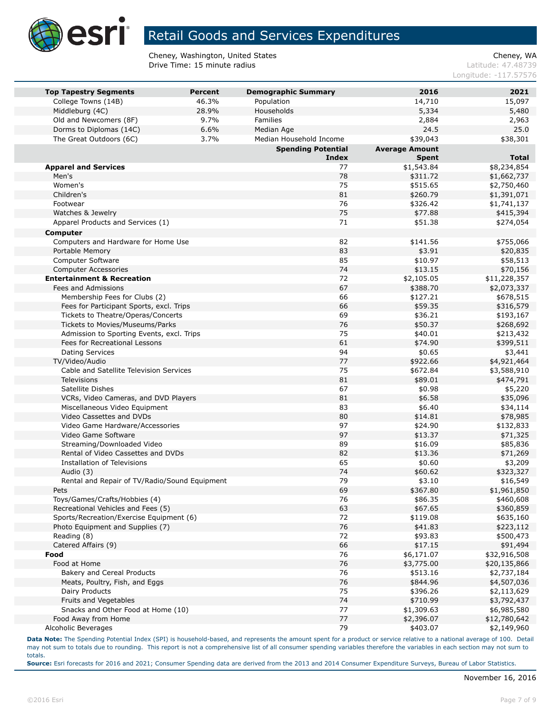

Cheney, Washington, United States<br>
Drive Time: 15 minute radius<br>
Cheney, WASHING Cheney, WA Drive Time: 15 minute radius

Longitude: -117.57576

| <b>Top Tapestry Segments</b>                  | <b>Percent</b> | <b>Demographic Summary</b> | 2016                  | 2021         |
|-----------------------------------------------|----------------|----------------------------|-----------------------|--------------|
| College Towns (14B)                           | 46.3%          | Population                 | 14,710                | 15,097       |
| Middleburg (4C)                               | 28.9%          | Households                 | 5,334                 | 5,480        |
| Old and Newcomers (8F)                        | 9.7%           | <b>Families</b>            | 2,884                 | 2,963        |
| Dorms to Diplomas (14C)                       | 6.6%           | Median Age                 | 24.5                  | 25.0         |
| The Great Outdoors (6C)                       | 3.7%           | Median Household Income    | \$39,043              | \$38,301     |
|                                               |                | <b>Spending Potential</b>  | <b>Average Amount</b> |              |
|                                               |                | <b>Index</b>               | <b>Spent</b>          | <b>Total</b> |
| <b>Apparel and Services</b>                   |                | 77                         | \$1,543.84            | \$8,234,854  |
| Men's                                         |                | 78                         | \$311.72              | \$1,662,737  |
| Women's                                       |                | 75                         | \$515.65              | \$2,750,460  |
| Children's                                    |                | 81                         | \$260.79              | \$1,391,071  |
| Footwear                                      |                | 76                         | \$326.42              | \$1,741,137  |
| Watches & Jewelry                             |                | 75                         | \$77.88               | \$415,394    |
| Apparel Products and Services (1)             |                | 71                         | \$51.38               | \$274,054    |
| <b>Computer</b>                               |                |                            |                       |              |
| Computers and Hardware for Home Use           |                | 82                         | \$141.56              | \$755,066    |
| Portable Memory                               |                | 83                         | \$3.91                | \$20,835     |
| Computer Software                             |                | 85                         | \$10.97               | \$58,513     |
| <b>Computer Accessories</b>                   |                | 74                         | \$13.15               | \$70,156     |
| <b>Entertainment &amp; Recreation</b>         |                | 72                         | \$2,105.05            | \$11,228,357 |
| Fees and Admissions                           |                | 67                         | \$388.70              | \$2,073,337  |
| Membership Fees for Clubs (2)                 |                | 66                         | \$127.21              | \$678,515    |
| Fees for Participant Sports, excl. Trips      |                | 66                         | \$59.35               | \$316,579    |
| Tickets to Theatre/Operas/Concerts            |                | 69                         | \$36.21               | \$193,167    |
| Tickets to Movies/Museums/Parks               |                | 76                         | \$50.37               | \$268,692    |
| Admission to Sporting Events, excl. Trips     |                | 75                         | \$40.01               | \$213,432    |
| Fees for Recreational Lessons                 |                | 61                         | \$74.90               | \$399,511    |
| <b>Dating Services</b>                        |                | 94                         | \$0.65                | \$3,441      |
| TV/Video/Audio                                |                | 77                         | \$922.66              | \$4,921,464  |
| Cable and Satellite Television Services       |                | 75                         | \$672.84              | \$3,588,910  |
| <b>Televisions</b>                            |                | 81                         | \$89.01               | \$474,791    |
| Satellite Dishes                              |                | 67                         | \$0.98                | \$5,220      |
| VCRs, Video Cameras, and DVD Players          |                | 81                         | \$6.58                | \$35,096     |
| Miscellaneous Video Equipment                 |                | 83                         | \$6.40                | \$34,114     |
| Video Cassettes and DVDs                      |                | 80                         | \$14.81               | \$78,985     |
| Video Game Hardware/Accessories               |                | 97                         | \$24.90               | \$132,833    |
| Video Game Software                           |                | 97                         | \$13.37               | \$71,325     |
| Streaming/Downloaded Video                    |                | 89                         | \$16.09               | \$85,836     |
| Rental of Video Cassettes and DVDs            |                | 82                         | \$13.36               | \$71,269     |
| <b>Installation of Televisions</b>            |                | 65                         | \$0.60                | \$3,209      |
| Audio (3)                                     |                | 74                         | \$60.62               | \$323,327    |
| Rental and Repair of TV/Radio/Sound Equipment |                | 79                         | \$3.10                | \$16,549     |
| Pets                                          |                | 69                         | \$367.80              | \$1,961,850  |
| Toys/Games/Crafts/Hobbies (4)                 |                | 76                         | \$86.35               | \$460,608    |
| Recreational Vehicles and Fees (5)            |                | 63                         | \$67.65               | \$360,859    |
| Sports/Recreation/Exercise Equipment (6)      |                | 72                         | \$119.08              | \$635,160    |
| Photo Equipment and Supplies (7)              |                | 76                         | \$41.83               | \$223,112    |
| Reading (8)                                   |                | 72                         | \$93.83               | \$500,473    |
| Catered Affairs (9)                           |                | 66                         | \$17.15               | \$91,494     |
| Food                                          |                | 76                         | \$6,171.07            | \$32,916,508 |
| Food at Home                                  |                | 76                         | \$3,775.00            | \$20,135,866 |
| Bakery and Cereal Products                    |                | 76                         | \$513.16              | \$2,737,184  |
| Meats, Poultry, Fish, and Eggs                |                | 76                         | \$844.96              | \$4,507,036  |
| Dairy Products                                |                | 75                         | \$396.26              | \$2,113,629  |
| Fruits and Vegetables                         |                | 74                         | \$710.99              | \$3,792,437  |
| Snacks and Other Food at Home (10)            |                | 77                         | \$1,309.63            | \$6,985,580  |
| Food Away from Home                           |                | 77                         | \$2,396.07            | \$12,780,642 |
| Alcoholic Beverages                           |                | 79                         | \$403.07              | \$2,149,960  |

**Data Note:** The Spending Potential Index (SPI) is household-based, and represents the amount spent for a product or service relative to a national average of 100. Detail may not sum to totals due to rounding. This report is not a comprehensive list of all consumer spending variables therefore the variables in each section may not sum to totals.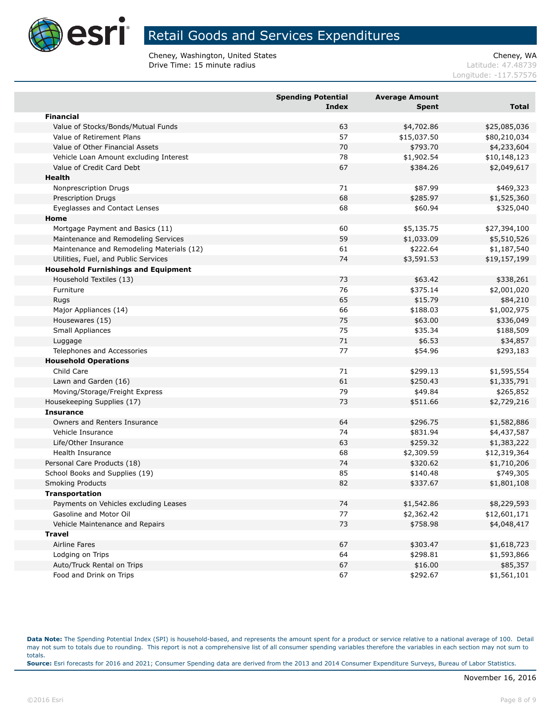

Cheney, Washington, United States<br>
Drive Time: 15 minute radius<br>
Cheney, WASHING Cheney, WA Drive Time: 15 minute radius

Longitude: -117.57576

|                                            | <b>Spending Potential</b><br><b>Index</b> | <b>Average Amount</b><br><b>Spent</b> | Total        |
|--------------------------------------------|-------------------------------------------|---------------------------------------|--------------|
| <b>Financial</b>                           |                                           |                                       |              |
| Value of Stocks/Bonds/Mutual Funds         | 63                                        | \$4,702.86                            | \$25,085,036 |
| Value of Retirement Plans                  | 57                                        | \$15,037.50                           | \$80,210,034 |
| Value of Other Financial Assets            | 70                                        | \$793.70                              | \$4,233,604  |
| Vehicle Loan Amount excluding Interest     | 78                                        | \$1,902.54                            | \$10,148,123 |
| Value of Credit Card Debt                  | 67                                        | \$384.26                              | \$2,049,617  |
| <b>Health</b>                              |                                           |                                       |              |
| Nonprescription Drugs                      | 71                                        | \$87.99                               | \$469,323    |
| Prescription Drugs                         | 68                                        | \$285.97                              | \$1,525,360  |
| Eyeglasses and Contact Lenses              | 68                                        | \$60.94                               | \$325,040    |
| Home                                       |                                           |                                       |              |
| Mortgage Payment and Basics (11)           | 60                                        | \$5,135.75                            | \$27,394,100 |
| Maintenance and Remodeling Services        | 59                                        | \$1,033.09                            | \$5,510,526  |
| Maintenance and Remodeling Materials (12)  | 61                                        | \$222.64                              | \$1,187,540  |
| Utilities, Fuel, and Public Services       | 74                                        | \$3,591.53                            | \$19,157,199 |
| <b>Household Furnishings and Equipment</b> |                                           |                                       |              |
| Household Textiles (13)                    | 73                                        | \$63.42                               | \$338,261    |
| Furniture                                  | 76                                        | \$375.14                              | \$2,001,020  |
| Rugs                                       | 65                                        | \$15.79                               | \$84,210     |
| Major Appliances (14)                      | 66                                        | \$188.03                              | \$1,002,975  |
| Housewares (15)                            | 75                                        | \$63.00                               | \$336,049    |
| Small Appliances                           | 75                                        | \$35.34                               | \$188,509    |
| Luggage                                    | 71                                        | \$6.53                                | \$34,857     |
| Telephones and Accessories                 | 77                                        | \$54.96                               | \$293,183    |
| <b>Household Operations</b>                |                                           |                                       |              |
| Child Care                                 | 71                                        | \$299.13                              | \$1,595,554  |
| Lawn and Garden (16)                       | 61                                        | \$250.43                              | \$1,335,791  |
| Moving/Storage/Freight Express             | 79                                        | \$49.84                               | \$265,852    |
| Housekeeping Supplies (17)                 | 73                                        | \$511.66                              | \$2,729,216  |
| <b>Insurance</b>                           |                                           |                                       |              |
| Owners and Renters Insurance               | 64                                        | \$296.75                              | \$1,582,886  |
| Vehicle Insurance                          | 74                                        | \$831.94                              | \$4,437,587  |
| Life/Other Insurance                       | 63                                        | \$259.32                              | \$1,383,222  |
| Health Insurance                           | 68                                        | \$2,309.59                            | \$12,319,364 |
| Personal Care Products (18)                | 74                                        | \$320.62                              | \$1,710,206  |
| School Books and Supplies (19)             | 85                                        | \$140.48                              | \$749,305    |
| <b>Smoking Products</b>                    | 82                                        | \$337.67                              | \$1,801,108  |
| <b>Transportation</b>                      |                                           |                                       |              |
| Payments on Vehicles excluding Leases      | 74                                        | \$1,542.86                            | \$8,229,593  |
| Gasoline and Motor Oil                     | 77                                        | \$2,362.42                            | \$12,601,171 |
| Vehicle Maintenance and Repairs            | 73                                        | \$758.98                              | \$4,048,417  |
| Travel                                     |                                           |                                       |              |
| Airline Fares                              | 67                                        | \$303.47                              | \$1,618,723  |
| Lodging on Trips                           | 64                                        | \$298.81                              | \$1,593,866  |
| Auto/Truck Rental on Trips                 | 67                                        | \$16.00                               | \$85,357     |
| Food and Drink on Trips                    | 67                                        | \$292.67                              | \$1,561,101  |

**Data Note:** The Spending Potential Index (SPI) is household-based, and represents the amount spent for a product or service relative to a national average of 100. Detail may not sum to totals due to rounding. This report is not a comprehensive list of all consumer spending variables therefore the variables in each section may not sum to totals. **Source:** Esri forecasts for 2016 and 2021; Consumer Spending data are derived from the 2013 and 2014 Consumer Expenditure Surveys, Bureau of Labor Statistics.